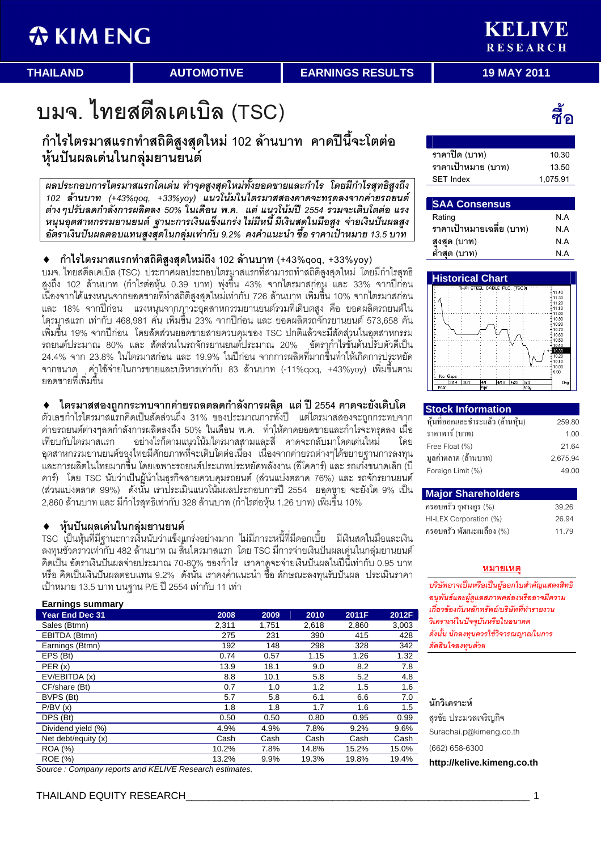KBIND RESEARCH

**THAILAND AUTOMOTIVE EARNINGS RESULTS 19 MAY 2011** 

# บมจ. ไทยสตีลเคเบิล (TSC)

กำไรไตรมาสแรกทำสถิติสูงสุดใหม่ 102 ล้านบาท คาดปีนี้จะโตต่อ หุ้นปันผลเด่นในกลุ่มยานยนต์

ผลประกอบการไตรมาสแรกโดเด่น ทำจุดสูงสุดใหม่ทั้งยอดขายและกำไร โดยมีกำไรสุทธิสูงถึง 102 ล้านบาท (+43%qoq, +33%yoy) แนวโน้มในไตรมาสสองคาดจะทรุดลงจากค่ายรถยนต์ ต่างๆปรับลดกำลังการผลิตลง 50% ในเดือน พ.ค. แต่ แนวโน้มปี 2554 รวมจะเติบโตต่อ แรง หนุนอุตสาหกรรมยานยนต์ ฐานะการเงินแข็งแกร่ง ไม่มีหนี้ มีเงินสดในมือสูง จ่ายเงินปันผลสูง อัตราเงินปันผลตอบแทนสูงสุดในกลุ่มเท่ากับ 9.2% คงคำแนะนำ ซื้อ ราคาเป้าหมาย 13.5 บาท

♦ กำไรไตรมาสแรกทำสถิติสูงสุดใหม่ถึง 102 ล้านบาท (+43%qoq, +33%yoy)

บมจ. ไทยสตีลเคเบิล (TSC) ประกาศผลประกอบไตรมาสแรกที่สามารถทำสถิติสูงสุดใหม่ โดยมีกำไรสุทธิ สูงถึง 102 ล้านบาท (กำไรต่อหุ้น 0.39 บาท) พุ่งขึ้น 43% จากไตรมาสก่อน และ 33% จากปีก่อน เนื่องจากได้แรงหนุนจากยอดขายที่ทำสถิติสูงสุดใหม่เท่ากับ 726 ล้านบาท เพิ่มขึ้น 10% จากไตรมาสก่อน และ 18% จากปี่ก่อน แรงหนุนจากภาวะอุตสาหกรรมยานยนต์รวมที่เติบตสูง คือ ยอดผลิตรถยนต์ใน ไตฺรมูาสแรก เท่ากับ 468,981 คั่น เพิ่มขึ้น 23% จากปีก่อน และ ยอดผลิตรถจักรยานยนต์ 573,658 คัน เพิ่มขึ้น 19% จากปีก่อน โดยสัดส่วนยอดขายสายควบคุมของ TSC ปกติแล้วจะมีสัดส่วนในอุตสาหกรรม รถยนต์ประมาณ 80% และ สัดส่วนในรถจักรยานยนต์๋ประมาณ 20% ฺอัตรากำไรขั้นต้นปรับตัวดีเป็น 24.4% จาก 23.8% ในไตรมาสก่อน และ 19.9% ในปีก่อน จากการผลิตที่มากขึ้นทำให้เกิดการประหยัด จากขนาด<sub>ุ ค่ำ</sub>ใช้จ่ายในการขายและบริหารเท่ากับ 83 ล้านบาท (-11%qoq, +43%yoy) เพิ่มขึ้นตาม ยอดขายที่เพิ่มขึ้น

 $\blacklozenge$  ไตรมาสสองถูกกระทบจากค่ายรถลดลดกำลังการผลิต แต่ ปี 2554 คาดจะยังเติบโต

ตัวเลขกำไรไตรมาสแรกคิดเป็นสัดส่วนถึง 31% ของประมาณการทั้งปี แต่ไตรมาสสองจะถูกกระทบจาก ค่ายรถยนต์ต่างๆลดกำลังการผลิตลงถึง 50% ในเดือน พ.ค. ทำให้คาดยอดขายและกำไรจะทรุดลง เมื่อ เทียบกับไต รมาสแรก อย่างไรก็ตามแนวโน้มไตรมาสสามและสี่ คาดจะกลับมาโดดเด่นใหม่ โดย อุตสาหกรรมยานยนต์ของไทยมีศักยภาพที่จะเติบโตต่อเนื่อง เนื่องจากค่ายรถต่างๆได้ขยายฐานการลงทุน และการผลิตในไทยมากขึ้น โดยเฉพาะรถยนต์ประเภทประหยัดพลังงาน (อีโคคาร์) และ รถเก๋ง็ขนาดเล็ก (บี คาร์) โดย TSC นับว่าเป็นผู้นำในธุรกิจสายควบคุมรถยนต์ (ส่วนแบ่งตลาด 76%) และ รถจักรยานยนต์ (ส่วนแบ่งตลาด 99%) ดังนั้น เราประเมินแนวโน้มผลประกอบการปี 2554 ยอุดขาย จะยังโต 9% เป็น 2,860 ล้านบาท และ มีกำไรสุทธิเท่ากับ 328 ล้านบาท (กำไรต่อหุ้น 1.26 บาท) เพิ่มขึ้น 10%

### $\bullet$  หุ้นปันผลเด่นในกลุ่มยานยนต์

TSC โป็นหุ้นที่มีฐานะการเงิ้นนับว่าแข็งแกร่งอย่างมาก ไม่มีภาระหนี้ที่มีดอกเบี้ย มีเงินสดในมือและเงิน ลงทุนชั่วคราวเท่า๊กับ 482 ล้านบาท ณ สิ้นไตรมาสแรก โดย TSC มีการจ่ายเงินปันผลเด่นในกลุ่มยานยนต์ คิดเป็น อัตราเงินปันผลจ่ายประมาณ 70-80ู% ของกำไร เราคาดูจะจ่ายเงินปันผลในปีนี้เท่ากับ 0.95 บาท หรือ คิดเป็นเงินปันผลตอบแทน 9.2% ดังนั้น เราคงคำแนะนำ ซื้อ ลักษณะลงทุนรับปันผล ประเมินราคา เป้าหมาย 13.5 บาท บนฐาน P/E ปี 2554 เท่ากับ 11 เท่า

| <b>Earnings summary</b> |       |       |       |       |       |
|-------------------------|-------|-------|-------|-------|-------|
| Year End Dec 31         | 2008  | 2009  | 2010  | 2011F | 2012F |
| Sales (Btmn)            | 2,311 | 1,751 | 2,618 | 2,860 | 3,003 |
| EBITDA (Btmn)           | 275   | 231   | 390   | 415   | 428   |
| Earnings (Btmn)         | 192   | 148   | 298   | 328   | 342   |
| EPS (Bt)                | 0.74  | 0.57  | 1.15  | 1.26  | 1.32  |
| PER(x)                  | 13.9  | 18.1  | 9.0   | 8.2   | 7.8   |
| EV/EBITDA (x)           | 8.8   | 10.1  | 5.8   | 5.2   | 4.8   |
| CF/share (Bt)           | 0.7   | 1.0   | 1.2   | 1.5   | 1.6   |
| BVPS (Bt)               | 5.7   | 5.8   | 6.1   | 6.6   | 7.0   |
| P/BV(x)                 | 1.8   | 1.8   | 1.7   | 1.6   | 1.5   |
| DPS (Bt)                | 0.50  | 0.50  | 0.80  | 0.95  | 0.99  |
| Dividend yield (%)      | 4.9%  | 4.9%  | 7.8%  | 9.2%  | 9.6%  |
| Net debt/equity (x)     | Cash  | Cash  | Cash  | Cash  | Cash  |
| <b>ROA</b> (%)          | 10.2% | 7.8%  | 14.8% | 15.2% | 15.0% |
| ROE (%)                 | 13.2% | 9.9%  | 19.3% | 19.8% | 19.4% |

Source : Company reports and KELIVE Research estimates.

| ราคาปิด (บาท)      | 10.30    |
|--------------------|----------|
| ราคาเป้าหมาย (บาท) | 13.50    |
| <b>SET Index</b>   | 1,075.91 |

ชื้อ

### **SAA Consensus**  Rating N.A ราคาเป้าหมายเฉลี่ย (บาท) N.A () N.A O () N.A



### **Stock Information**

| หุ้นที่ออกและชำระแล้ว (ล้านหุ้น) | 259.80   |
|----------------------------------|----------|
| ราคาพาร์ (บาท)                   | 1.00     |
| Free Float (%)                   | 21.64    |
| มูลค่าตลาด (ล้านบาท)             | 2,675.94 |
| Foreign Limit (%)                | 49.00    |

| <b>Major Shareholders</b>   |       |  |  |  |  |  |
|-----------------------------|-------|--|--|--|--|--|
| ครอบครัว จุฬางกูร (%)       | 39.26 |  |  |  |  |  |
| HI-LEX Corporation (%)      | 26.94 |  |  |  |  |  |
| ่ ครอบครัว พัฒนะเบลื่อง (%) | 11 79 |  |  |  |  |  |

### <u>หมายเหตุ</u>

บริษัทอาจเป็นหรือเป็นผ้ออกใบสำคัญแสดงสิทธิ์ อนุพันธ์และผู้ดูแลสภาพคล่องหรืออาจมีความ เกี่ยวข้องกับหลักทรัพย์/บริษัทที่ทำรายงาน วิเคราะห์ในปัจจุบันหรือในอนาคต ดังนั้น นักลงทุนควรใช้วิจารณญาณในการ ตัดสินใจลงทุนด้วย

### นักวิเคราะห์

สรชัย ประมวลเจริญกิจ Surachai.p@kimeng.co.th

(662) 658-6300

**http://kelive.kimeng.co.th**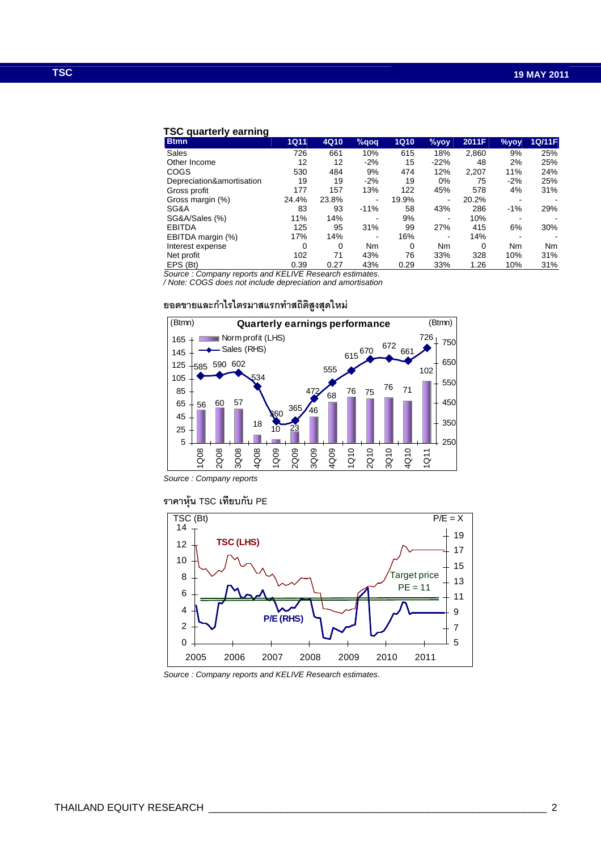### **TSC quarterly earning**

| <b>Btmn</b>               | <b>1Q11</b>                                            | 4Q10     | $%$ qoq | <b>1Q10</b> | $%$ yoy | 2011F | %yoy  | 1Q/11F         |  |  |  |
|---------------------------|--------------------------------------------------------|----------|---------|-------------|---------|-------|-------|----------------|--|--|--|
| Sales                     | 726                                                    | 661      | 10%     | 615         | 18%     | 2.860 | 9%    | 25%            |  |  |  |
| Other Income              | 12                                                     | 12       | $-2%$   | 15          | $-22%$  | 48    | 2%    | 25%            |  |  |  |
| COGS                      | 530                                                    | 484      | 9%      | 474         | 12%     | 2,207 | 11%   | 24%            |  |  |  |
| Depreciation&amortisation | 19                                                     | 19       | $-2%$   | 19          | 0%      | 75    | $-2%$ | 25%            |  |  |  |
| Gross profit              | 177                                                    | 157      | 13%     | 122         | 45%     | 578   | 4%    | 31%            |  |  |  |
| Gross margin (%)          | 24.4%                                                  | 23.8%    | ۰       | 19.9%       | ۰       | 20.2% |       |                |  |  |  |
| SG&A                      | 83                                                     | 93       | $-11%$  | 58          | 43%     | 286   | $-1%$ | 29%            |  |  |  |
| SG&A/Sales (%)            | 11%                                                    | 14%      | ۰       | 9%          |         | 10%   |       |                |  |  |  |
| <b>EBITDA</b>             | 125                                                    | 95       | 31%     | 99          | 27%     | 415   | 6%    | 30%            |  |  |  |
| EBITDA margin (%)         | 17%                                                    | 14%      | ۰       | 16%         |         | 14%   |       |                |  |  |  |
| Interest expense          | 0                                                      | $\Omega$ | Nm      | $\Omega$    | Nm      | 0     | Nm    | N <sub>m</sub> |  |  |  |
| Net profit                | 102                                                    | 71       | 43%     | 76          | 33%     | 328   | 10%   | 31%            |  |  |  |
| EPS (Bt)                  | 0.39                                                   | 0.27     | 43%     | 0.29        | 33%     | 1.26  | 10%   | 31%            |  |  |  |
|                           | Source: Company reports and KELIVE Research estimates. |          |         |             |         |       |       |                |  |  |  |

/ Note: COGS does not include depreciation and amortisation

### ยอดขายและกำไรไตรมาสแรกทำสถิติสูงสุดใหม่



Source : Company reports

### ราคาหุ้น TSC เทียบกับ PE



Source : Company reports and KELIVE Research estimates.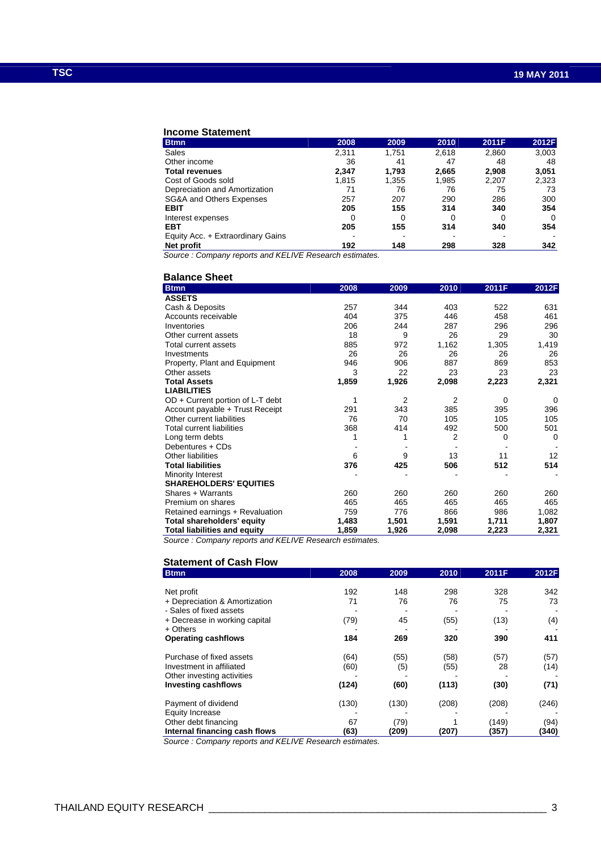### **Income Statement**

| <b>Btmn</b>                       | 2008  | 2009  | 2010  | 2011F | 2012F |
|-----------------------------------|-------|-------|-------|-------|-------|
| Sales                             | 2,311 | 1,751 | 2,618 | 2,860 | 3,003 |
| Other income                      | 36    | 41    | 47    | 48    | 48    |
| <b>Total revenues</b>             | 2.347 | 1.793 | 2,665 | 2,908 | 3,051 |
| Cost of Goods sold                | 1.815 | 1,355 | 1,985 | 2,207 | 2,323 |
| Depreciation and Amortization     | 71    | 76    | 76    | 75    | 73    |
| SG&A and Others Expenses          | 257   | 207   | 290   | 286   | 300   |
| <b>EBIT</b>                       | 205   | 155   | 314   | 340   | 354   |
| Interest expenses                 | 0     |       |       | 0     | 0     |
| <b>EBT</b>                        | 205   | 155   | 314   | 340   | 354   |
| Equity Acc. + Extraordinary Gains |       |       |       |       |       |
| Net profit                        | 192   | 148   | 298   | 328   | 342   |

Source : Company reports and KELIVE Research estimates.

### **Balance Sheet**

| <b>Btmn</b>                         | 2008  | 2009  | 2010           | 2011F | 2012F |
|-------------------------------------|-------|-------|----------------|-------|-------|
| <b>ASSETS</b>                       |       |       |                |       |       |
| Cash & Deposits                     | 257   | 344   | 403            | 522   | 631   |
| Accounts receivable                 | 404   | 375   | 446            | 458   | 461   |
| Inventories                         | 206   | 244   | 287            | 296   | 296   |
| Other current assets                | 18    | 9     | 26             | 29    | 30    |
| Total current assets                | 885   | 972   | 1,162          | 1,305 | 1,419 |
| Investments                         | 26    | 26    | 26             | 26    | 26    |
| Property, Plant and Equipment       | 946   | 906   | 887            | 869   | 853   |
| Other assets                        | 3     | 22    | 23             | 23    | 23    |
| <b>Total Assets</b>                 | 1,859 | 1,926 | 2,098          | 2,223 | 2,321 |
| <b>LIABILITIES</b>                  |       |       |                |       |       |
| $OD + Current$ portion of L-T debt  | 1     | 2     | $\overline{2}$ | 0     | 0     |
| Account payable + Trust Receipt     | 291   | 343   | 385            | 395   | 396   |
| Other current liabilities           | 76    | 70    | 105            | 105   | 105   |
| <b>Total current liabilities</b>    | 368   | 414   | 492            | 500   | 501   |
| Long term debts                     | 1     | 1     | 2              | 0     | 0     |
| Debentures + CDs                    |       |       |                |       |       |
| Other liabilities                   | 6     | 9     | 13             | 11    | 12    |
| <b>Total liabilities</b>            | 376   | 425   | 506            | 512   | 514   |
| Minority Interest                   |       |       |                |       |       |
| <b>SHAREHOLDERS' EQUITIES</b>       |       |       |                |       |       |
| Shares + Warrants                   | 260   | 260   | 260            | 260   | 260   |
| Premium on shares                   | 465   | 465   | 465            | 465   | 465   |
| Retained earnings + Revaluation     | 759   | 776   | 866            | 986   | 1,082 |
| <b>Total shareholders' equity</b>   | 1,483 | 1,501 | 1,591          | 1,711 | 1,807 |
| <b>Total liabilities and equity</b> | 1,859 | 1,926 | 2,098          | 2,223 | 2,321 |

Source : Company reports and KELIVE Research estimates.

### **Statement of Cash Flow**

| <b>Btmn</b>                   | 2008  | 2009  | 2010  | 2011F | 2012F |
|-------------------------------|-------|-------|-------|-------|-------|
|                               |       |       |       |       |       |
| Net profit                    | 192   | 148   | 298   | 328   | 342   |
| + Depreciation & Amortization | 71    | 76    | 76    | 75    | 73    |
| - Sales of fixed assets       |       |       |       |       |       |
| + Decrease in working capital | (79)  | 45    | (55)  | (13)  | (4)   |
| $+$ Others                    |       |       |       |       |       |
| <b>Operating cashflows</b>    | 184   | 269   | 320   | 390   | 411   |
| Purchase of fixed assets      | (64)  | (55)  | (58)  | (57)  | (57)  |
| Investment in affiliated      | (60)  | (5)   | (55)  | 28    | (14)  |
| Other investing activities    |       |       |       |       |       |
| <b>Investing cashflows</b>    | (124) | (60)  | (113) | (30)  | (71)  |
| Payment of dividend           | (130) | (130) | (208) | (208) | (246) |
| Equity Increase               |       |       |       |       |       |
| Other debt financing          | 67    | (79)  |       | (149) | (94)  |
| Internal financing cash flows | (63)  | (209) | (207) | (357) | (340) |

Source : Company reports and KELIVE Research estimates.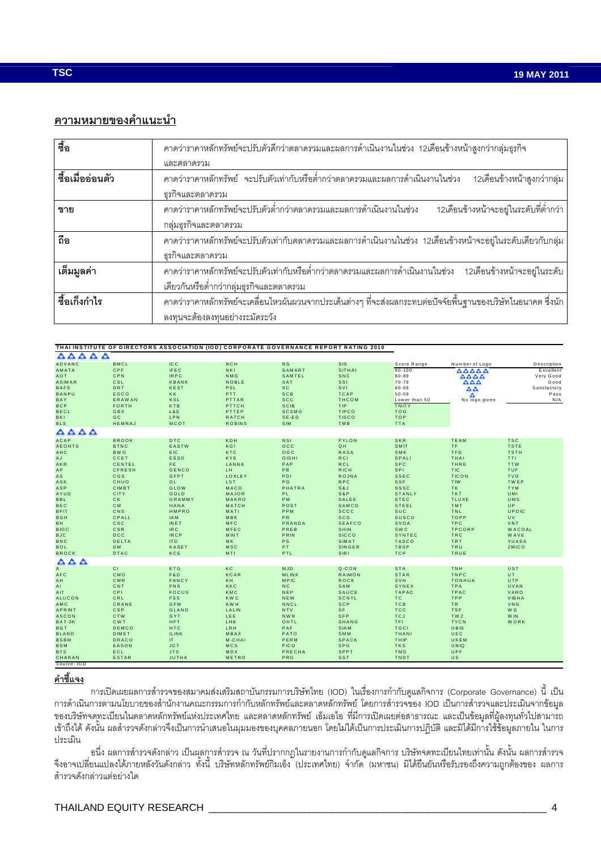### ความหมายของคำแนะนำ

| ชื่อ             | คาดว่าราคาหลักทรัพย์จะปรับตัวดีกว่าตลาดรวมและผลการดำเนินงานในช่วง 12เดือนข้างหน้าสูงกว่ากลุ่มธุรกิจ                  |
|------------------|----------------------------------------------------------------------------------------------------------------------|
|                  | และตลาดรวม                                                                                                           |
| ชื้อเมื่ออ่อนตัว | ิ คาดว่าราคาหลักทรัพย์   จะปรับตัวเท่ากับหรือต่ำกว่าตลาดรวมและผลการดำเนินงานในช่วง       12เดือนข้างหน้าสูงกว่ากลุ่ม |
|                  | ธุรกิจและตลาดรวม                                                                                                     |
| ขาย              | 12เดือนข้างหน้าจะอยู่ในระดับที่ต่ำกว่า<br>คาดว่าราคาหลักทรัพย์จะปรับตัวต่ำกว่าตลาดรวมและผลการดำเนินงานในช่วง         |
|                  | กลุ่มธุรกิจและตลาดรวม                                                                                                |
| ถือ              | ิ คาดว่าราคาหลักทรัพย์จะปรับตัวเท่ากับตลาดรวมและผลการดำเนินงานในช่วง 12เดือนข้างหน้าจะอยู่ในระดับเดียวกับกลุ่ม       |
|                  | ธุรกิจและตลาดรวม                                                                                                     |
| เต็มมูลค่า       | ิ คาดว่าราคาหลักทรัพย์จะปรับตัวเท่ากับหรือต่ำกว่าตลาดรวมและผลการดำเนินงานในช่วง 12เดือนข้างหน้าจะอยู่ในระดับ         |
|                  | เดียวกันหรือต่ำกว่ากลุ่มธุรกิจและตลาดรวม                                                                             |
| ชื้อเก็งกำไร     | ิ คาดว่าราคาหลักทรัพย์จะเคลื่อนไหวผันผวนจากประเด็นต่างๆ ที่จะส่งผลกระทบต่อปัจจัยพื้นฐานของบริษัทในอนาคต ซึ่งนัก      |
|                  | ลงทุนจะต้องลงทุนอย่างระมัดระวัง                                                                                      |

|                          |               | THAI INSTITUTE OF DIRECTORS ASSOCIATION (IOD) CORPORATE GOVERNANCE REPORT RATING 2010 |               |                |               |               |                                 |               |
|--------------------------|---------------|---------------------------------------------------------------------------------------|---------------|----------------|---------------|---------------|---------------------------------|---------------|
| AAAAA                    |               |                                                                                       |               |                |               |               |                                 |               |
| ADVANC                   | <b>BMCL</b>   | IC <sub>C</sub>                                                                       | <b>NCH</b>    | <b>RS</b>      | <b>SIS</b>    | Score Range   | Number of Logo                  | Description   |
| AMATA                    | CPF           | <b>IFEC</b>                                                                           | <b>NKI</b>    | SAMART         | SITHAI        | $90 - 100$    | AAAAA                           | Excellent     |
| AOT                      | CPN           | <b>IRPC</b>                                                                           | NMG           | SAMTEL         | SNC           | $80 - 89$     | AAAA                            | Very Good     |
| <b>ASIMAR</b>            | CSL           | <b>KBANK</b>                                                                          | <b>NOBLE</b>  | SAT            | <b>SSI</b>    | $70 - 79$     | $\triangle \triangle \triangle$ | Good          |
| <b>BAFS</b>              | DRT           | <b>KEST</b>                                                                           | PSL           | <b>SC</b>      | SVI           | 60-69         | $\triangle \triangle$           | Satisfactory  |
| BANPU                    | EGCO          | KK                                                                                    | PTT           | <b>SCB</b>     | <b>TCAP</b>   | $50 - 59$     | Δ                               | Pass          |
| BAY                      | <b>ERAWAN</b> | KSL                                                                                   | PTTAR         | <b>SCC</b>     | <b>THCOM</b>  | Lower than 50 | No logo given                   | N/A           |
| <b>BCP</b>               | <b>FORTH</b>  | KTB                                                                                   | PTTCH         | <b>SCIB</b>    | TIP           | <b>TNITY</b>  |                                 |               |
| <b>BECL</b>              | GBX           | L&E                                                                                   | PTTEP         | <b>SCSMG</b>   | <b>TIPCO</b>  | <b>TOG</b>    |                                 |               |
| <b>BKI</b>               | GC            | <b>LPN</b>                                                                            | <b>RATCH</b>  | $SE-ED$        | <b>TISCO</b>  | <b>TOP</b>    |                                 |               |
| <b>BLS</b>               | HEMRAJ        | <b>MCOT</b>                                                                           | <b>ROBINS</b> | <b>SIM</b>     | TMB           | <b>TTA</b>    |                                 |               |
| AAAA                     |               |                                                                                       |               |                |               |               |                                 |               |
| <b>ACAP</b>              | <b>BROOK</b>  | <b>DTC</b>                                                                            | KDH           | <b>NSI</b>     | PYLON         | <b>SKR</b>    | TEAM                            | <b>TSC</b>    |
| <b>AEONTS</b>            | <b>BTNC</b>   | EASTW                                                                                 | KGI           | OCC            | QH            | SMIT          | TF                              | <b>TSTE</b>   |
| AHC                      | <b>BWG</b>    | EIC.                                                                                  | <b>KTC</b>    | OGC            | <b>RASA</b>   | SMK           | TFD                             | <b>TSTH</b>   |
| AJ                       | CCET          | ESSO                                                                                  | KYE           | OISHI          | <b>RCI</b>    | SPALI         | THAI                            | TTI.          |
| AKR                      | CENTEL        | FE.                                                                                   | LANNA         | PAP            | <b>RCL</b>    | <b>SPC</b>    | THRE                            | <b>TTW</b>    |
| AP                       | <b>CFRESH</b> | <b>GENCO</b>                                                                          | LH.           | PB.            | <b>RICH</b>   | SPI           | <b>TIC</b>                      | <b>TUF</b>    |
| AS                       | <b>CGS</b>    | GFPT                                                                                  | LOXLEY        | PDI            | ROJNA         | <b>SSEC</b>   | <b>TICON</b>                    | <b>TVO</b>    |
| ASK                      | CHUO          | GL                                                                                    | <b>LST</b>    | PG             | <b>RPC</b>    | <b>SSF</b>    | TIW                             | <b>TWEP</b>   |
| ASP                      | CIMBT         | <b>GLOW</b>                                                                           | MACO          | <b>PHATRA</b>  | S & J         | <b>SSSC</b>   | TK                              | <b>TYM</b>    |
| AYUD                     | <b>CITY</b>   | GOLD                                                                                  | MAJOR         | PL.            | S&P           | <b>STANLY</b> | <b>TKT</b>                      | <b>UMI</b>    |
| <b>BBL</b>               | СK            | GRAMMY                                                                                | MAKRO         | <b>PM</b>      | SALEE         | <b>STEC</b>   | <b>TLUXE</b>                    | UMS           |
| <b>BEC</b>               | <b>CM</b>     | HANA                                                                                  | MATCH         | POST           | SAMCO         | <b>STEEL</b>  | TMT                             | UP.           |
| <b>BFIT</b>              | CNS           | <b>HMPRO</b>                                                                          | MATI          | PPM            | <b>SCCC</b>   | SUC           | TNL                             | UPOIC         |
| <b>BGH</b>               | CPALL         | IAM                                                                                   | MBK           | PR.            | <b>SCG</b>    | <b>SUSCO</b>  | TOPP                            | <b>UV</b>     |
| BH.                      | <b>CSC</b>    | INET                                                                                  | <b>MFC</b>    | PRANDA         | <b>SEAFCO</b> | SVOA          | <b>TPC</b>                      | <b>VNT</b>    |
| <b>BIGC</b>              | CSR           | IR <sub>C</sub>                                                                       | MFEC          | PREB           | SHIN          | <b>SWC</b>    | <b>TPCORP</b>                   | <b>WACOAL</b> |
| <b>BJC</b>               | <b>DCC</b>    | <b>IRCP</b>                                                                           | <b>MINT</b>   | PRIN           | <b>SICCO</b>  | SYNTEC        | <b>TRC</b>                      | WAVE          |
| <b>BNC</b>               | DELTA         | ITD                                                                                   | MK            | PS             | SIMAT         | <b>TASCO</b>  | TRT                             | YUASA         |
| <b>BOL</b>               | <b>DM</b>     | <b>KASET</b>                                                                          | MSC           | PT.            | <b>SINGER</b> | <b>TBSP</b>   | TRU                             | ZMICO         |
| <b>BROCK</b>             | <b>DTAC</b>   | <b>KCE</b>                                                                            | MTI           | PTL            | SIRI          | <b>TCP</b>    | TRUE                            |               |
| <b>AAA</b>               |               |                                                                                       |               |                |               |               |                                 |               |
| $\overline{A}$           | CI.           | ETG                                                                                   | KC            | <b>MJD</b>     | Q-CON         | <b>STA</b>    | TNH                             | UST           |
| AFC                      | CMO           | F&D                                                                                   | <b>KCAR</b>   | <b>MLINK</b>   | <b>RAIMON</b> | <b>STAR</b>   | TNPC                            | UT.           |
| AH                       | CMR           | FANCY                                                                                 | KH            | <b>MPIC</b>    | <b>ROCK</b>   | SVH           | <b>TONHUA</b>                   | <b>UTP</b>    |
| AI                       | CNT           | <b>FNS</b>                                                                            | KKC           | N <sub>C</sub> | SAM           | SYNEX         | TPA                             | UVAN          |
| AIT                      | CPI           | <b>FOCUS</b>                                                                          | KMC           | NEP            | SAUCE         | <b>TAPAC</b>  | <b>TPAC</b>                     | VARO          |
| <b>ALUCON</b>            | CRL           | <b>FSS</b>                                                                            | <b>KWC</b>    | NEW            | SCNYL         | <b>TC</b>     | TPP                             | VIBHA         |
| AMC                      | CRANE         | GFM                                                                                   | <b>KWH</b>    | NNCL           | <b>SCP</b>    | <b>TCB</b>    | TR.                             | VNG           |
| APRINT                   | <b>CSP</b>    | <b>GLAND</b>                                                                          | LALIN         | <b>NTV</b>     | SF.           | <b>TCC</b>    | <b>TSF</b>                      | W G           |
| <b>ASCON</b>             | CTW           | GYT                                                                                   | LEE           | <b>NWR</b>     | <b>SFP</b>    | <b>TCJ</b>    | TWZ                             | W IN          |
| BAT-3K                   | <b>CWT</b>    | <b>HFT</b>                                                                            | LHK           | OHTL           | <b>SHANG</b>  | TFI.          | <b>TYCN</b>                     | <b>WORK</b>   |
| <b>BGT</b>               | DEMCO         | <b>HTC</b>                                                                            | LRH           | PAF            | SIAM          | <b>TGCI</b>   | <b>UBIS</b>                     |               |
| <b>BLAND</b>             | DIMET         | <b>ILINK</b>                                                                          | MBAX          | PATO           | SMM           | THANI         | UEC                             |               |
| <b>BSBM</b>              | <b>DRACO</b>  | IT.                                                                                   | M-CHAI        | PERM           | <b>SPACK</b>  | THIP          | UKEM                            |               |
| <b>BSM</b>               | EASON         | <b>JCT</b>                                                                            | MCS           | <b>PICO</b>    | SPG           | <b>TKS</b>    | UNIQ                            |               |
| <b>BTS</b>               | ECL           | <b>JTS</b>                                                                            | MDX           | <b>PRECHA</b>  | SPPT          | TMD           | <b>UPF</b>                      |               |
| CHARAN<br>$Sout$ $(0,0)$ | <b>ESTAR</b>  | <b>JUTHA</b>                                                                          | METRO         | PRG            | <b>SST</b>    | TNDT          | US.                             |               |

### <u>คำชี้แจง</u>

การเปิดเผยผลการสำรวจของสมาคมส่งเสริมสถาบันกรรมการบริษัทไทย (IOD) ในเรื่องการกำกับดูแลกิจการ (Corporate Governance) นี้ เป็น<br>การดำเนินการตามนโยบายของสำนักงานคณะกรรมการกำกับหลักทรัพย์และตลาดหลักทรัพย์ โดยการสำรวจของ IOD เป็ ่ ของบริษัทจดทะเบียนในตลาดหลักทรัพย์แห่งประเทศไทย และตลาดหลักทรัพย์ เอ็มเอไอ ที่มีการเปิดเผยต่อสาธารณะ และเป็นข้อมูลที่ผู้ลงทุนทั่วไปสามารถ เข้าถึงได้ ดังนั้น ผลลำรวจดังกล่าวจึงเป็นการนำเสนอในมุมมองของบุคคลภายนอก โดยไม่ได้เป็นการประเมินการปฏิบัติ และมิได้มีการใช้ข้อมูลภายใน ในการ ประเมิน

้อนึ่ง ผลการสำรวจดังกล่าว เป็นผุลการสำรวจ ณ วันที่ปรากกฎในรายงานการกำกับดูแลกิจการ บริษัทจดทะเบียนไทยเท่านั้น ดังนั้น ผลการสำรวจ ้จึงอาจเปลี่ยนแปลงได้ภายหลังวันดังกล่าว ทั้งนี้ บริษัทหลักทรัพย์กิมเอ็ง (ประเทศไทย) จำกัด (มหาชน) มิได้ยืนยันหรือรับรองถึงความถูกต้องของ ผลการ ล้ารวจดังกล่าวแต่อย่างใด